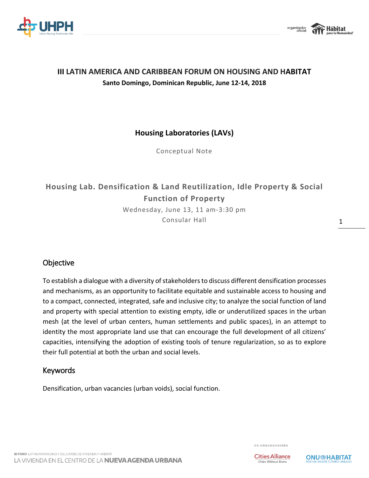



## **III LATIN AMERICA AND CARIBBEAN FORUM ON HOUSING AND HABITAT Santo Domingo, Dominican Republic, June 12-14, 2018**

## **Housing Laboratories (LAVs)**

Conceptual Note

# **Housing Lab. Densification & Land Reutilization, Idle Property & Social Function of Property**

Wednesday, June 13, 11 am-3:30 pm Consular Hall

## **Objective**

To establish a dialogue with a diversity of stakeholders to discuss different densification processes and mechanisms, as an opportunity to facilitate equitable and sustainable access to housing and to a compact, connected, integrated, safe and inclusive city; to analyze the social function of land and property with special attention to existing empty, idle or underutilized spaces in the urban mesh (at the level of urban centers, human settlements and public spaces), in an attempt to identity the most appropriate land use that can encourage the full development of all citizens' capacities, intensifying the adoption of existing tools of tenure regularization, so as to explore their full potential at both the urban and social levels.

### Keywords

Densification, urban vacancies (urban voids), social function.

CO-ORGANIZADORES



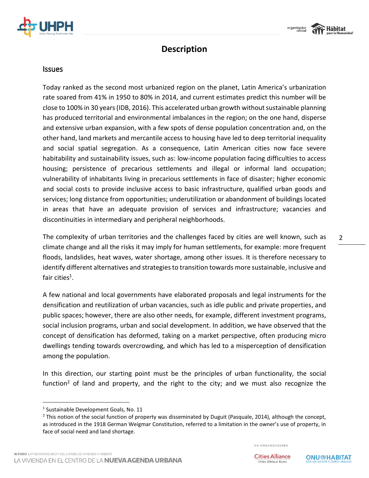



## **Description**

#### Issues

Today ranked as the second most urbanized region on the planet, Latin America's urbanization rate soared from 41% in 1950 to 80% in 2014, and current estimates predict this number will be close to 100% in 30 years(IDB, 2016). This accelerated urban growth without sustainable planning has produced territorial and environmental imbalances in the region; on the one hand, disperse and extensive urban expansion, with a few spots of dense population concentration and, on the other hand, land markets and mercantile access to housing have led to deep territorial inequality and social spatial segregation. As a consequence, Latin American cities now face severe habitability and sustainability issues, such as: low-income population facing difficulties to access housing; persistence of precarious settlements and illegal or informal land occupation; vulnerability of inhabitants living in precarious settlements in face of disaster; higher economic and social costs to provide inclusive access to basic infrastructure, qualified urban goods and services; long distance from opportunities; underutilization or abandonment of buildings located in areas that have an adequate provision of services and infrastructure; vacancies and discontinuities in intermediary and peripheral neighborhoods.

The complexity of urban territories and the challenges faced by cities are well known, such as climate change and all the risks it may imply for human settlements, for example: more frequent floods, landslides, heat waves, water shortage, among other issues. It is therefore necessary to identify different alternatives and strategies to transition towards more sustainable, inclusive and fair cities $^1$ .

A few national and local governments have elaborated proposals and legal instruments for the densification and reutilization of urban vacancies, such as idle public and private properties, and public spaces; however, there are also other needs, for example, different investment programs, social inclusion programs, urban and social development. In addition, we have observed that the concept of densification has deformed, taking on a market perspective, often producing micro dwellings tending towards overcrowding, and which has led to a misperception of densification among the population.

In this direction, our starting point must be the principles of urban functionality, the social function<sup>2</sup> of land and property, and the right to the city; and we must also recognize the

 $\overline{a}$ 

CO-ORGANIZADORES



<sup>&</sup>lt;sup>1</sup> Sustainable Development Goals, No. 11

<sup>&</sup>lt;sup>2</sup> This notion of the social function of property was disseminated by Duguit (Pasquale, 2014), although the concept, as introduced in the 1918 German Weigmar Constitution, referred to a limitation in the owner's use of property, in face of social need and land shortage.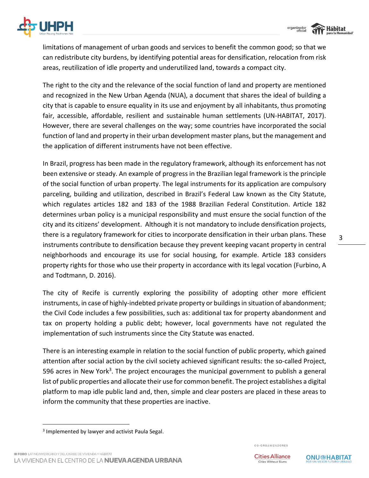



limitations of management of urban goods and services to benefit the common good; so that we can redistribute city burdens, by identifying potential areas for densification, relocation from risk areas, reutilization of idle property and underutilized land, towards a compact city.

The right to the city and the relevance of the social function of land and property are mentioned and recognized in the New Urban Agenda (NUA), a document that shares the ideal of building a city that is capable to ensure equality in its use and enjoyment by all inhabitants, thus promoting fair, accessible, affordable, resilient and sustainable human settlements (UN-HABITAT, 2017). However, there are several challenges on the way; some countries have incorporated the social function of land and property in their urban development master plans, but the management and the application of different instruments have not been effective.

In Brazil, progress has been made in the regulatory framework, although its enforcement has not been extensive or steady. An example of progress in the Brazilian legal framework is the principle of the social function of urban property. The legal instruments for its application are compulsory parceling, building and utilization, described in Brazil's Federal Law known as the City Statute, which regulates articles 182 and 183 of the 1988 Brazilian Federal Constitution. Article 182 determines urban policy is a municipal responsibility and must ensure the social function of the city and its citizens' development. Although it is not mandatory to include densification projects, there is a regulatory framework for cities to incorporate densification in their urban plans. These instruments contribute to densification because they prevent keeping vacant property in central neighborhoods and encourage its use for social housing, for example. Article 183 considers property rights for those who use their property in accordance with its legal vocation (Furbino, A and Todtmann, D. 2016).

The city of Recife is currently exploring the possibility of adopting other more efficient instruments, in case of highly-indebted private property or buildings in situation of abandonment; the Civil Code includes a few possibilities, such as: additional tax for property abandonment and tax on property holding a public debt; however, local governments have not regulated the implementation of such instruments since the City Statute was enacted.

There is an interesting example in relation to the social function of public property, which gained attention after social action by the civil society achieved significant results: the so-called Project, 596 acres in New York<sup>3</sup>. The project encourages the municipal government to publish a general list of public properties and allocate their use for common benefit. The project establishes a digital platform to map idle public land and, then, simple and clear posters are placed in these areas to inform the community that these properties are inactive.

 $\overline{a}$ 

CO-ORGANIZADORES



<sup>&</sup>lt;sup>3</sup> Implemented by lawyer and activist Paula Segal.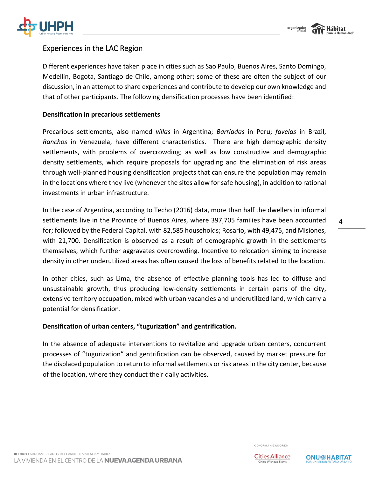



### Experiences in the LAC Region

Different experiences have taken place in cities such as Sao Paulo, Buenos Aires, Santo Domingo, Medellin, Bogota, Santiago de Chile, among other; some of these are often the subject of our discussion, in an attempt to share experiences and contribute to develop our own knowledge and that of other participants. The following densification processes have been identified:

#### **Densification in precarious settlements**

Precarious settlements, also named *villas* in Argentina; *Barriadas* in Peru; *favelas* in Brazil, *Ranchos* in Venezuela, have different characteristics. There are high demographic density settlements, with problems of overcrowding; as well as low constructive and demographic density settlements, which require proposals for upgrading and the elimination of risk areas through well-planned housing densification projects that can ensure the population may remain in the locations where they live (whenever the sites allow for safe housing), in addition to rational investments in urban infrastructure.

In the case of Argentina, according to Techo (2016) data, more than half the dwellers in informal settlements live in the Province of Buenos Aires, where 397,705 families have been accounted for; followed by the Federal Capital, with 82,585 households; Rosario, with 49,475, and Misiones, with 21,700. Densification is observed as a result of demographic growth in the settlements themselves, which further aggravates overcrowding. Incentive to relocation aiming to increase density in other underutilized areas has often caused the loss of benefits related to the location.

In other cities, such as Lima, the absence of effective planning tools has led to diffuse and unsustainable growth, thus producing low-density settlements in certain parts of the city, extensive territory occupation, mixed with urban vacancies and underutilized land, which carry a potential for densification.

#### **Densification of urban centers, "tugurization" and gentrification.**

In the absence of adequate interventions to revitalize and upgrade urban centers, concurrent processes of "tugurization" and gentrification can be observed, caused by market pressure for the displaced population to return to informal settlements or risk areas in the city center, because of the location, where they conduct their daily activities.



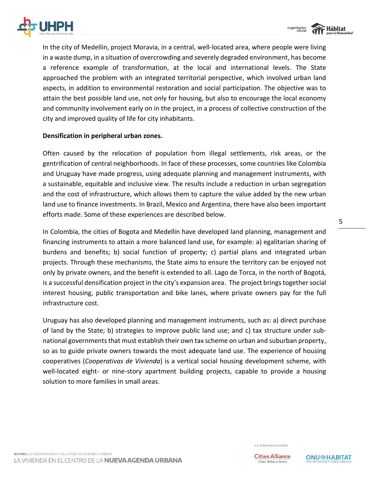



In the city of Medellin, project Moravia, in a central, well-located area, where people were living in a waste dump, in a situation of overcrowding and severely degraded environment, has become a reference example of transformation, at the local and international levels. The State approached the problem with an integrated territorial perspective, which involved urban land aspects, in addition to environmental restoration and social participation. The objective was to attain the best possible land use, not only for housing, but also to encourage the local economy and community involvement early on in the project, in a process of collective construction of the city and improved quality of life for city inhabitants.

#### **Densification in peripheral urban zones.**

Often caused by the relocation of population from illegal settlements, risk areas, or the gentrification of central neighborhoods. In face of these processes, some countries like Colombia and Uruguay have made progress, using adequate planning and management instruments, with a sustainable, equitable and inclusive view. The results include a reduction in urban segregation and the cost of infrastructure, which allows them to capture the value added by the new urban land use to finance investments. In Brazil, Mexico and Argentina, there have also been important efforts made. Some of these experiences are described below.

In Colombia, the cities of Bogota and Medellin have developed land planning, management and financing instruments to attain a more balanced land use, for example: a) egalitarian sharing of burdens and benefits; b) social function of property; c) partial plans and integrated urban projects. Through these mechanisms, the State aims to ensure the territory can be enjoyed not only by private owners, and the benefit is extended to all. Lago de Torca, in the north of Bogotá, is a successful densification project in the city's expansion area. The project brings together social interest housing, public transportation and bike lanes, where private owners pay for the full infrastructure cost.

Uruguay has also developed planning and management instruments, such as: a) direct purchase of land by the State; b) strategies to improve public land use; and c) tax structure under subnational governments that must establish their own tax scheme on urban and suburban property, so as to guide private owners towards the most adequate land use. The experience of housing cooperatives (*Cooperativas de Vivienda*) is a vertical social housing development scheme, with well-located eight- or nine-story apartment building projects, capable to provide a housing solution to more families in small areas.

CO-ORGANIZADORES

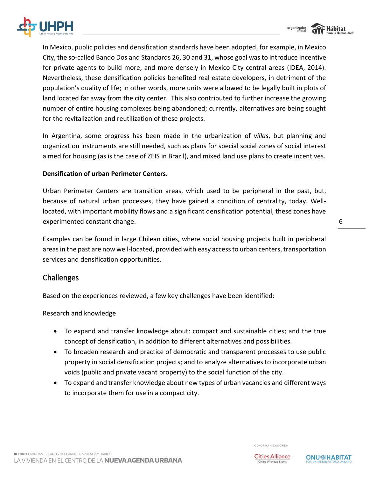

In Mexico, public policies and densification standards have been adopted, for example, in Mexico City, the so-called Bando Dos and Standards 26, 30 and 31, whose goal was to introduce incentive for private agents to build more, and more densely in Mexico City central areas (IDEA, 2014). Nevertheless, these densification policies benefited real estate developers, in detriment of the population's quality of life; in other words, more units were allowed to be legally built in plots of land located far away from the city center. This also contributed to further increase the growing number of entire housing complexes being abandoned; currently, alternatives are being sought for the revitalization and reutilization of these projects.

In Argentina, some progress has been made in the urbanization of *villas*, but planning and organization instruments are still needed, such as plans for special social zones of social interest aimed for housing (as is the case of ZEIS in Brazil), and mixed land use plans to create incentives.

#### **Densification of urban Perimeter Centers.**

Urban Perimeter Centers are transition areas, which used to be peripheral in the past, but, because of natural urban processes, they have gained a condition of centrality, today. Welllocated, with important mobility flows and a significant densification potential, these zones have experimented constant change.

Examples can be found in large Chilean cities, where social housing projects built in peripheral areas in the past are now well-located, provided with easy access to urban centers, transportation services and densification opportunities.

### Challenges

Based on the experiences reviewed, a few key challenges have been identified:

Research and knowledge

- To expand and transfer knowledge about: compact and sustainable cities; and the true concept of densification, in addition to different alternatives and possibilities.
- To broaden research and practice of democratic and transparent processes to use public property in social densification projects; and to analyze alternatives to incorporate urban voids (public and private vacant property) to the social function of the city.
- To expand and transfer knowledge about new types of urban vacancies and different ways to incorporate them for use in a compact city.

organizado<br>Oficia **Hábitat** 

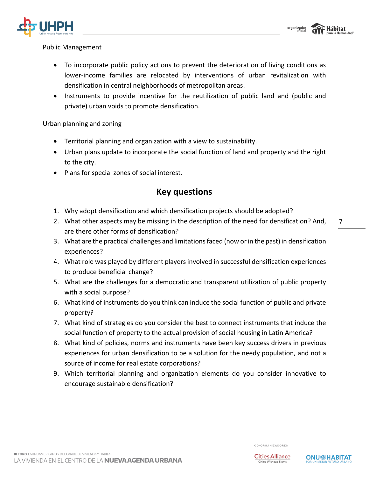

## Public Management

- To incorporate public policy actions to prevent the deterioration of living conditions as lower-income families are relocated by interventions of urban revitalization with densification in central neighborhoods of metropolitan areas.
- Instruments to provide incentive for the reutilization of public land and (public and private) urban voids to promote densification.

#### Urban planning and zoning

- Territorial planning and organization with a view to sustainability.
- Urban plans update to incorporate the social function of land and property and the right to the city.
- Plans for special zones of social interest.

## **Key questions**

- 1. Why adopt densification and which densification projects should be adopted?
- 2. What other aspects may be missing in the description of the need for densification? And, are there other forms of densification?
- 3. What are the practical challenges and limitations faced (now or in the past) in densification experiences?
- 4. What role was played by different players involved in successful densification experiences to produce beneficial change?
- 5. What are the challenges for a democratic and transparent utilization of public property with a social purpose?
- 6. What kind of instruments do you think can induce the social function of public and private property?
- 7. What kind of strategies do you consider the best to connect instruments that induce the social function of property to the actual provision of social housing in Latin America?
- 8. What kind of policies, norms and instruments have been key success drivers in previous experiences for urban densification to be a solution for the needy population, and not a source of income for real estate corporations?
- 9. Which territorial planning and organization elements do you consider innovative to encourage sustainable densification?

CO-ORGANIZADORES

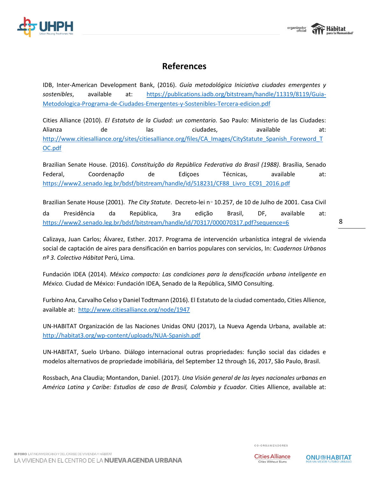

## **References**

IDB, Inter-American Development Bank, (2016). *Guía metodológica Iniciativa ciudades emergentes y sostenibles*, available at: [https://publications.iadb.org/bitstream/handle/11319/8119/Guia-](https://publications.iadb.org/bitstream/handle/11319/8119/Guia-Metodologica-Programa-de-Ciudades-Emergentes-y-Sostenibles-Tercera-edicion.pdf)[Metodologica-Programa-de-Ciudades-Emergentes-y-Sostenibles-Tercera-edicion.pdf](https://publications.iadb.org/bitstream/handle/11319/8119/Guia-Metodologica-Programa-de-Ciudades-Emergentes-y-Sostenibles-Tercera-edicion.pdf)

Cities Alliance (2010). *El Estatuto de la Ciudad: un comentario.* Sao Paulo: Ministerio de las Ciudades: Alianza de las ciudades, available at: [http://www.citiesalliance.org/sites/citiesalliance.org/files/CA\\_Images/CityStatute\\_Spanish\\_Foreword\\_T](http://www.citiesalliance.org/sites/citiesalliance.org/files/CA_Images/CityStatute_Spanish_Foreword_TOC.pdf) [OC.pdf](http://www.citiesalliance.org/sites/citiesalliance.org/files/CA_Images/CityStatute_Spanish_Foreword_TOC.pdf)

Brazilian Senate House. (2016). *Constituição da República Federativa do Brasil (1988)*. Brasília, Senado Federal, Coordena*ção* de Ediçoes Técnicas, available at: [https://www2.senado.leg.br/bdsf/bitstream/handle/id/518231/CF88\\_Livro\\_EC91\\_2016.pdf](https://www2.senado.leg.br/bdsf/bitstream/handle/id/518231/CF88_Livro_EC91_2016.pdf)

Brazilian Senate House (2001). *The City Statute*. Decreto-lei n∘ 10.257, de 10 de Julho de 2001. Casa Civil da Presidência da República, 3ra edição Brasil, DF, available at: <https://www2.senado.leg.br/bdsf/bitstream/handle/id/70317/000070317.pdf?sequence=6>

Calizaya, Juan Carlos; Álvarez, Esther. 2017. Programa de intervención urbanística integral de vivienda social de captación de aires para densificación en barrios populares con servicios, In: *Cuadernos Urbanos nº 3. Colectivo Hábitat* Perú, Lima.

Fundación IDEA (2014). *México compacto: Las condiciones para la densificación urbana inteligente en México.* Ciudad de México: Fundación IDEA, Senado de la República, SIMO Consulting.

Furbino Ana, Carvalho Celso y Daniel Todtmann (2016). El Estatuto de la ciudad comentado, Cities Allience, available at: <http://www.citiesalliance.org/node/1947>

UN-HABITAT Organización de las Naciones Unidas ONU (2017), La Nueva Agenda Urbana, available at: <http://habitat3.org/wp-content/uploads/NUA-Spanish.pdf>

UN-HABITAT, Suelo Urbano. Diálogo internacional outras propriedades: função social das cidades e modelos alternativos de propriedade imobiliária, del September 12 through 16, 2017, São Paulo, Brasil.

Rossbach, Ana Claudia; Montandon, Daniel. (2017). *Una Visión general de las leyes nacionales urbanas en América Latina y Caribe: Estudios de caso de Brasil, Colombia y Ecuador.* Cities Allience, available at:

CO-ORGANIZADORES